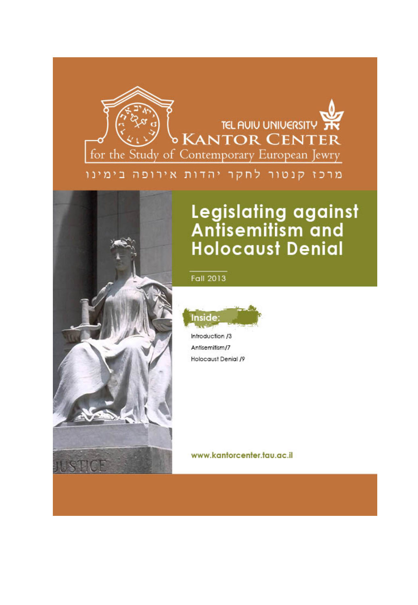

מרכז קנטור לחקר יהדות אירופה בימינו

# Legislating against<br>Antisemitism and **Holocaust Denial**



Fall 2013



Introduction /3 Antisemitism/7 Holocaust Denial /9

www.kantorcenter.tau.ac.il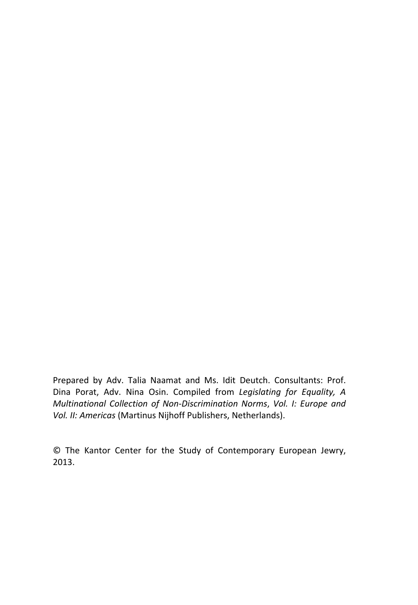Prepared by Adv. Talia Naamat and Ms. Idit Deutch. Consultants: Prof. Dina Porat, Adv. Nina Osin. Compiled from *Legislating for Equality, A Multinational Collection of Non‐Discrimination Norms*, *Vol. I: Europe and Vol. II: Americas* (Martinus Nijhoff Publishers, Netherlands).

© The Kantor Center for the Study of Contemporary European Jewry, 2013.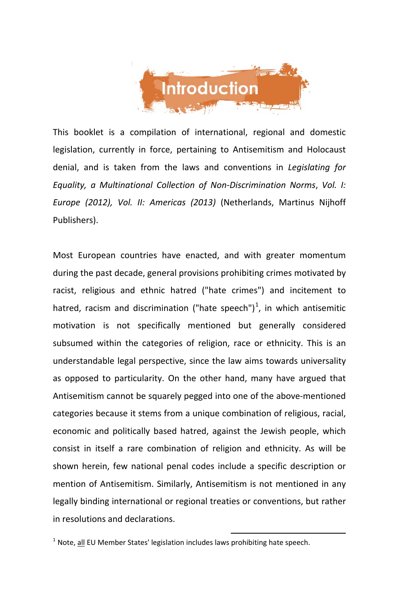

This booklet is a compilation of international, regional and domestic legislation, currently in force, pertaining to Antisemitism and Holocaust denial, and is taken from the laws and conventions in *Legislating for Equality, a Multinational Collection of Non‐Discrimination Norms*, *Vol. I: Europe (2012), Vol. II: Americas (2013)* (Netherlands, Martinus Nijhoff Publishers).

Most European countries have enacted, and with greater momentum during the past decade, general provisions prohibiting crimes motivated by racist, religious and ethnic hatred ("hate crimes") and incitement to hatred, racism and discrimination ("hate speech")<sup>[1](#page-2-0)</sup>, in which antisemitic motivation is not specifically mentioned but generally considered subsumed within the categories of religion, race or ethnicity. This is an understandable legal perspective, since the law aims towards universality as opposed to particularity. On the other hand, many have argued that Antisemitism cannot be squarely pegged into one of the above‐mentioned categories because it stems from a unique combination of religious, racial, economic and politically based hatred, against the Jewish people, which consist in itself a rare combination of religion and ethnicity. As will be shown herein, few national penal codes include a specific description or mention of Antisemitism. Similarly, Antisemitism is not mentioned in any legally binding international or regional treaties or conventions, but rather in resolutions and declarations.

<span id="page-2-0"></span> $1$  Note, all EU Member States' legislation includes laws prohibiting hate speech.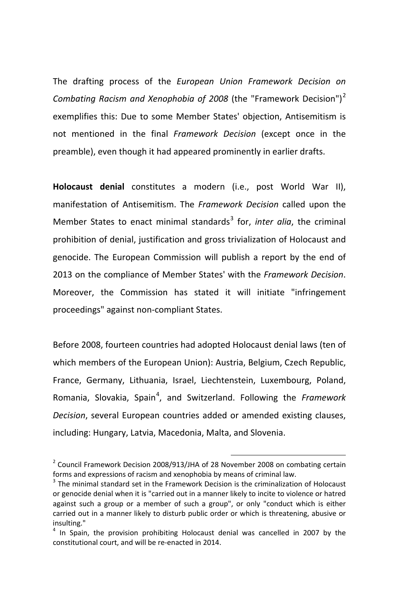The drafting process of the *European Union Framework Decision on Combating Racism and Xenophobia of 2008* (the "Framework Decision")[2](#page-3-0) exemplifies this: Due to some Member States' objection, Antisemitism is not mentioned in the final *Framework Decision* (except once in the preamble), even though it had appeared prominently in earlier drafts.

**Holocaust denial** constitutes a modern (i.e., post World War II), manifestation of Antisemitism. The *Framework Decision* called upon the Member States to enact minimal standards<sup>[3](#page-3-1)</sup> for, *inter alia*, the criminal prohibition of denial, justification and gross trivialization of Holocaust and genocide. The European Commission will publish a report by the end of 2013 on the compliance of Member States' with the *Framework Decision*. Moreover, the Commission has stated it will initiate "infringement proceedings" against non‐compliant States.

Before 2008, fourteen countries had adopted Holocaust denial laws (ten of which members of the European Union): Austria, Belgium, Czech Republic, France, Germany, Lithuania, Israel, Liechtenstein, Luxembourg, Poland, Romania, Slovakia, Spain<sup>[4](#page-3-2)</sup>, and Switzerland. Following the *Framework Decision*, several European countries added or amended existing clauses, including: Hungary, Latvia, Macedonia, Malta, and Slovenia.

<span id="page-3-0"></span> $2$  Council Framework Decision 2008/913/JHA of 28 November 2008 on combating certain forms and expressions of racism and xenophobia by means of criminal law.<br>
<sup>3</sup> The minimal standard set in the Framework Decision is the criminalization of Holocaust

<span id="page-3-1"></span>or genocide denial when it is "carried out in a manner likely to incite to violence or hatred against such a group or a member of such a group", or only "conduct which is either carried out in a manner likely to disturb public order or which is threatening, abusive or insulting."

<span id="page-3-2"></span> $<sup>4</sup>$  In Spain, the provision prohibiting Holocaust denial was cancelled in 2007 by the</sup> constitutional court, and will be re‐enacted in 2014.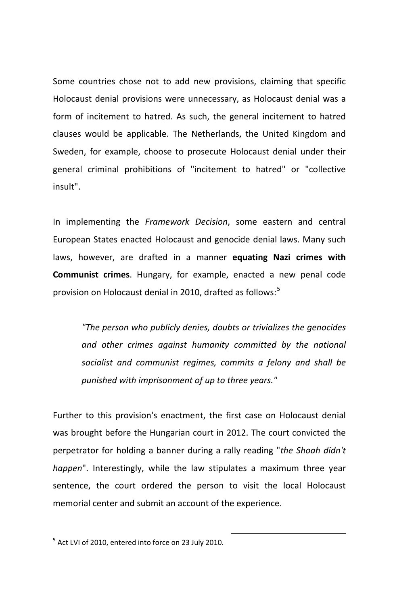Some countries chose not to add new provisions, claiming that specific Holocaust denial provisions were unnecessary, as Holocaust denial was a form of incitement to hatred. As such, the general incitement to hatred clauses would be applicable. The Netherlands, the United Kingdom and Sweden, for example, choose to prosecute Holocaust denial under their general criminal prohibitions of "incitement to hatred" or "collective insult".

In implementing the *Framework Decision*, some eastern and central European States enacted Holocaust and genocide denial laws. Many such laws, however, are drafted in a manner **equating Nazi crimes with Communist crimes**. Hungary, for example, enacted a new penal code provision on Holocaust denial in 2010, drafted as follows:<sup>[5](#page-4-0)</sup>

*"The person who publicly denies, doubts or trivializes the genocides and other crimes against humanity committed by the national socialist and communist regimes, commits a felony and shall be punished with imprisonment of up to three years."*

Further to this provision's enactment, the first case on Holocaust denial was brought before the Hungarian court in 2012. The court convicted the perpetrator for holding a banner during a rally reading "*the Shoah didn't happen*". Interestingly, while the law stipulates a maximum three year sentence, the court ordered the person to visit the local Holocaust memorial center and submit an account of the experience.

<span id="page-4-0"></span> $<sup>5</sup>$  Act LVI of 2010, entered into force on 23 July 2010.</sup>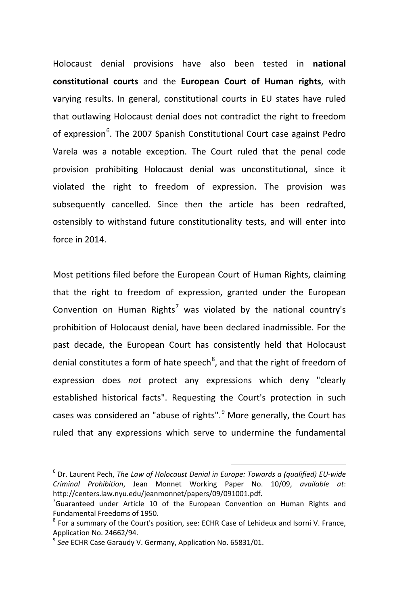Holocaust denial provisions have also been tested in **national constitutional courts** and the **European Court of Human rights**, with varying results. In general, constitutional courts in EU states have ruled that outlawing Holocaust denial does not contradict the right to freedom of expression<sup>[6](#page-5-0)</sup>. The 2007 Spanish Constitutional Court case against Pedro Varela was a notable exception. The Court ruled that the penal code provision prohibiting Holocaust denial was unconstitutional, since it violated the right to freedom of expression. The provision was subsequently cancelled. Since then the article has been redrafted, ostensibly to withstand future constitutionality tests, and will enter into force in 2014.

Most petitions filed before the European Court of Human Rights, claiming that the right to freedom of expression, granted under the European Convention on Human Rights<sup>[7](#page-5-1)</sup> was violated by the national country's prohibition of Holocaust denial, have been declared inadmissible. For the past decade, the European Court has consistently held that Holocaust denial constitutes a form of hate speech<sup>[8](#page-5-2)</sup>, and that the right of freedom of expression does *not* protect any expressions which deny "clearly established historical facts". Requesting the Court's protection in such cases was considered an "abuse of rights".<sup>[9](#page-5-3)</sup> More generally, the Court has ruled that any expressions which serve to undermine the fundamental

<span id="page-5-0"></span><sup>6</sup> Dr. Laurent Pech, *The Law of Holocaust Denial in Europe: Towards a (qualified) EU‐wide Criminal Prohibition*, Jean Monnet Working Paper No. 10/09, *available at*: http://centers.law.nyu.edu/jeanmonnet/papers/09/091001.pdf. <sup>7</sup>

<span id="page-5-1"></span> $^7$ Guaranteed under Article 10 of the European Convention on Human Rights and Fundamental Freedoms of 1950.<br><sup>8</sup> For a summary of the Court's position, see: ECHR Case of Lehideux and Isorni V. France,

<span id="page-5-2"></span>Application No. 24662/94.<br><sup>9</sup> See ECHR Case Garaudy V. Germany, Application No. 65831/01.

<span id="page-5-3"></span>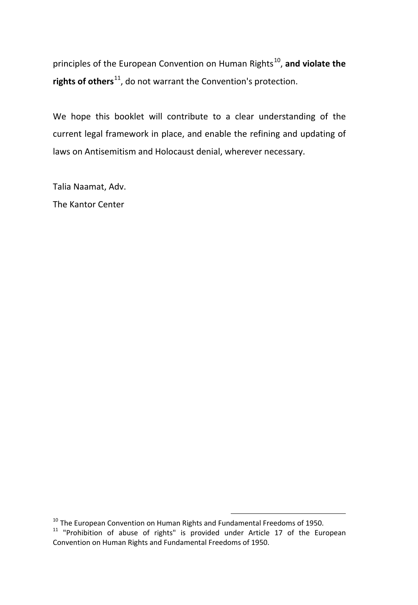principles of the European Convention on Human Rights<sup>[10](#page-6-0)</sup>, and violate the **rights of others**[11,](#page-6-1) do not warrant the Convention's protection.

We hope this booklet will contribute to a clear understanding of the current legal framework in place, and enable the refining and updating of laws on Antisemitism and Holocaust denial, wherever necessary.

Talia Naamat, Adv. The Kantor Center

<span id="page-6-0"></span><sup>10</sup> The European Convention on Human Rights and Fundamental Freedoms of 1950.

<span id="page-6-1"></span> $11$  "Prohibition of abuse of rights" is provided under Article 17 of the European Convention on Human Rights and Fundamental Freedoms of 1950.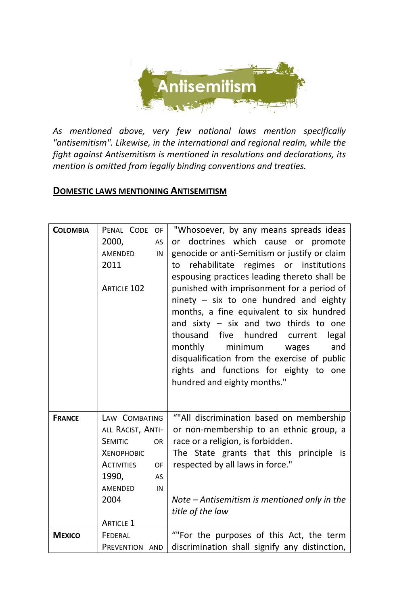

*As mentioned above, very few national laws mention specifically "antisemitism". Likewise, in the international and regional realm, while the fight against Antisemitism is mentioned in resolutions and declarations, its mention is omitted from legally binding conventions and treaties.* 

#### **DOMESTIC LAWS MENTIONING ANTISEMITISM**

| <b>COLOMBIA</b> | PENAL CODE<br><b>OF</b><br>2000,<br>AS<br>AMENDED<br>IN<br>2011<br><b>ARTICLE 102</b>                                                                           | "Whosoever, by any means spreads ideas<br>doctrines which cause or promote<br>or<br>genocide or anti-Semitism or justify or claim<br>rehabilitate regimes or institutions<br>to<br>espousing practices leading thereto shall be<br>punished with imprisonment for a period of<br>ninety - six to one hundred and eighty<br>months, a fine equivalent to six hundred<br>and sixty $-$ six and two thirds to one<br>thousand five hundred current<br>legal<br>monthly<br>minimum<br>and<br>wages<br>disqualification from the exercise of public<br>rights and functions for eighty to one<br>hundred and eighty months." |
|-----------------|-----------------------------------------------------------------------------------------------------------------------------------------------------------------|-------------------------------------------------------------------------------------------------------------------------------------------------------------------------------------------------------------------------------------------------------------------------------------------------------------------------------------------------------------------------------------------------------------------------------------------------------------------------------------------------------------------------------------------------------------------------------------------------------------------------|
| <b>FRANCE</b>   | LAW COMBATING<br>ALL RACIST, ANTI-<br><b>SEMITIC</b><br>OR<br>ХЕМОРНОВІС<br><b>ACTIVITIES</b><br>OF<br>1990,<br>AS<br>AMENDED<br>IN<br>2004<br><b>ARTICLE 1</b> | ""All discrimination based on membership<br>or non-membership to an ethnic group, a<br>race or a religion, is forbidden.<br>The State grants that this principle is<br>respected by all laws in force."<br>Note – Antisemitism is mentioned only in the<br>title of the law                                                                                                                                                                                                                                                                                                                                             |
| <b>MEXICO</b>   | FEDERAL<br>PREVENTION AND                                                                                                                                       | ""For the purposes of this Act, the term<br>discrimination shall signify any distinction,                                                                                                                                                                                                                                                                                                                                                                                                                                                                                                                               |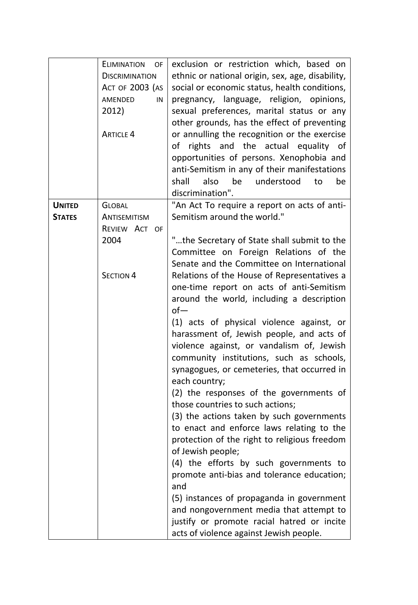|               | <b>ELIMINATION</b><br>OF | exclusion or restriction which, based on                                             |
|---------------|--------------------------|--------------------------------------------------------------------------------------|
|               | <b>DISCRIMINATION</b>    | ethnic or national origin, sex, age, disability,                                     |
|               | ACT OF 2003 (AS          | social or economic status, health conditions,                                        |
|               | AMENDED<br>IN            | pregnancy, language, religion, opinions,                                             |
|               | 2012)                    | sexual preferences, marital status or any                                            |
|               |                          | other grounds, has the effect of preventing                                          |
|               | <b>ARTICLE 4</b>         |                                                                                      |
|               |                          | or annulling the recognition or the exercise                                         |
|               |                          | rights and the actual equality of<br>of                                              |
|               |                          | opportunities of persons. Xenophobia and                                             |
|               |                          | anti-Semitism in any of their manifestations                                         |
|               |                          | understood<br>shall<br>also<br>be<br>to<br>be                                        |
|               |                          | discrimination".                                                                     |
| <b>UNITED</b> | <b>GLOBAL</b>            | "An Act To require a report on acts of anti-                                         |
| <b>STATES</b> | ANTISEMITISM             | Semitism around the world."                                                          |
|               | REVIEW ACT OF            |                                                                                      |
|               | 2004                     | "the Secretary of State shall submit to the                                          |
|               |                          | Committee on Foreign Relations of the                                                |
|               |                          | Senate and the Committee on International                                            |
|               | <b>SECTION 4</b>         | Relations of the House of Representatives a                                          |
|               |                          | one-time report on acts of anti-Semitism                                             |
|               |                          | around the world, including a description                                            |
|               |                          | $of-$                                                                                |
|               |                          | (1) acts of physical violence against, or                                            |
|               |                          | harassment of, Jewish people, and acts of                                            |
|               |                          | violence against, or vandalism of, Jewish                                            |
|               |                          | community institutions, such as schools,                                             |
|               |                          | synagogues, or cemeteries, that occurred in                                          |
|               |                          | each country;                                                                        |
|               |                          | (2) the responses of the governments of                                              |
|               |                          | those countries to such actions;                                                     |
|               |                          | (3) the actions taken by such governments                                            |
|               |                          | to enact and enforce laws relating to the                                            |
|               |                          | protection of the right to religious freedom                                         |
|               |                          | of Jewish people;                                                                    |
|               |                          |                                                                                      |
|               |                          | (4) the efforts by such governments to<br>promote anti-bias and tolerance education; |
|               |                          |                                                                                      |
|               |                          | and                                                                                  |
|               |                          | (5) instances of propaganda in government                                            |
|               |                          | and nongovernment media that attempt to                                              |
|               |                          | justify or promote racial hatred or incite                                           |
|               |                          | acts of violence against Jewish people.                                              |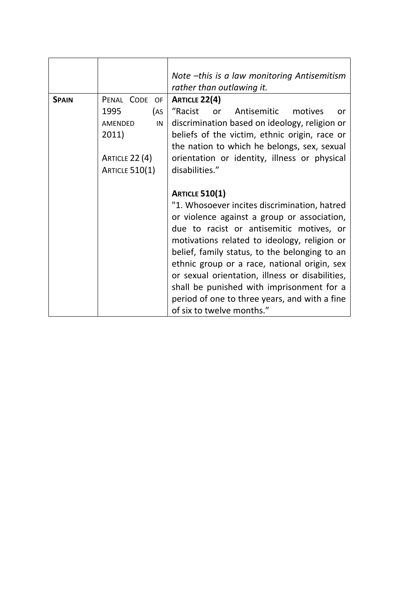|              |                       | Note -this is a law monitoring Antisemitism     |
|--------------|-----------------------|-------------------------------------------------|
|              |                       | rather than outlawing it.                       |
| <b>SPAIN</b> | PENAL CODE OF         | <b>ARTICLE 22(4)</b>                            |
|              | (AS<br>1995           | "Racist<br>Antisemitic<br>or<br>motives<br>or   |
|              | <b>AMENDED</b><br>IN  | discrimination based on ideology, religion or   |
|              | 2011)                 | beliefs of the victim, ethnic origin, race or   |
|              |                       | the nation to which he belongs, sex, sexual     |
|              | ARTICLE 22 (4)        | orientation or identity, illness or physical    |
|              | <b>ARTICLE 510(1)</b> | disabilities."                                  |
|              |                       |                                                 |
|              |                       | <b>ARTICLE 510(1)</b>                           |
|              |                       | "1. Whosoever incites discrimination, hatred    |
|              |                       | or violence against a group or association,     |
|              |                       | due to racist or antisemitic motives, or        |
|              |                       | motivations related to ideology, religion or    |
|              |                       | belief, family status, to the belonging to an   |
|              |                       | ethnic group or a race, national origin, sex    |
|              |                       | or sexual orientation, illness or disabilities, |
|              |                       | shall be punished with imprisonment for a       |
|              |                       | period of one to three years, and with a fine   |
|              |                       | of six to twelve months."                       |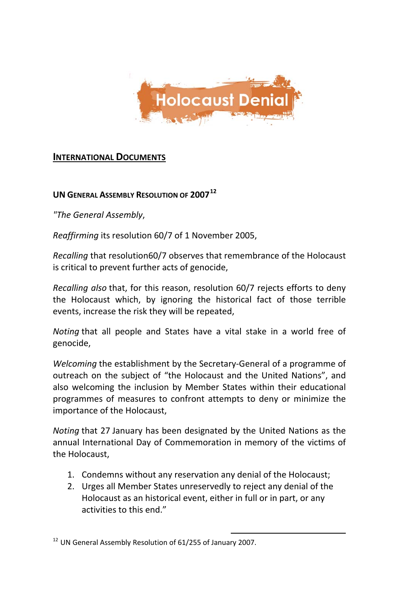

### **INTERNATIONAL DOCUMENTS**

#### **UN GENERAL ASSEMBLY RESOLUTION OF 2007[12](#page-10-0)**

*"The General Assembly*,

*Reaffirming* its resolution 60/7 of 1 November 2005,

*Recalling* that resolution60/7 observes that remembrance of the Holocaust is critical to prevent further acts of genocide,

*Recalling also* that, for this reason, resolution 60/7 rejects efforts to deny the Holocaust which, by ignoring the historical fact of those terrible events, increase the risk they will be repeated,

*Noting* that all people and States have a vital stake in a world free of genocide,

*Welcoming* the establishment by the Secretary‐General of a programme of outreach on the subject of "the Holocaust and the United Nations", and also welcoming the inclusion by Member States within their educational programmes of measures to confront attempts to deny or minimize the importance of the Holocaust,

*Noting* that 27 January has been designated by the United Nations as the annual International Day of Commemoration in memory of the victims of the Holocaust,

- 1. Condemns without any reservation any denial of the Holocaust;
- 2. Urges all Member States unreservedly to reject any denial of the Holocaust as an historical event, either in full or in part, or any activities to this end."

<span id="page-10-0"></span> $\overline{a}$  $12$  UN General Assembly Resolution of 61/255 of January 2007.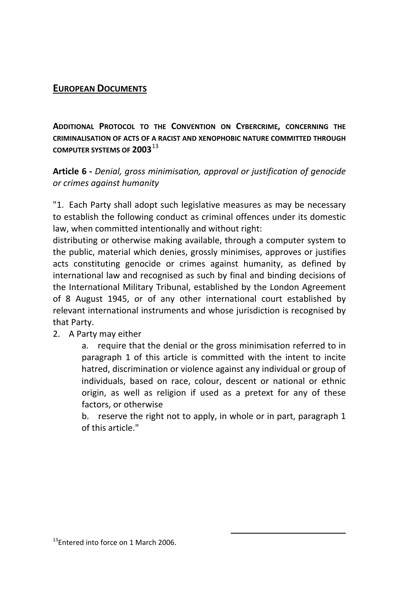#### **EUROPEAN DOCUMENTS**

**ADDITIONAL PROTOCOL TO THE CONVENTION ON CYBERCRIME, CONCERNING THE CRIMINALISATION OF ACTS OF A RACIST AND XENOPHOBIC NATURE COMMITTED THROUGH COMPUTER SYSTEMS OF 2003**[13](#page-11-0)

**Article 6 ‐** *Denial, gross minimisation, approval or justification of genocide or crimes against humanity*

"1. Each Party shall adopt such legislative measures as may be necessary to establish the following conduct as criminal offences under its domestic law, when committed intentionally and without right:

distributing or otherwise making available, through a computer system to the public, material which denies, grossly minimises, approves or justifies acts constituting genocide or crimes against humanity, as defined by international law and recognised as such by final and binding decisions of the International Military Tribunal, established by the London Agreement of 8 August 1945, or of any other international court established by relevant international instruments and whose jurisdiction is recognised by that Party.

#### 2. A Party may either

a. require that the denial or the gross minimisation referred to in paragraph 1 of this article is committed with the intent to incite hatred, discrimination or violence against any individual or group of individuals, based on race, colour, descent or national or ethnic origin, as well as religion if used as a pretext for any of these factors, or otherwise

b. reserve the right not to apply, in whole or in part, paragraph 1 of this article."

 $\overline{a}$ 

<span id="page-11-0"></span> $^{13}$ Entered into force on 1 March 2006.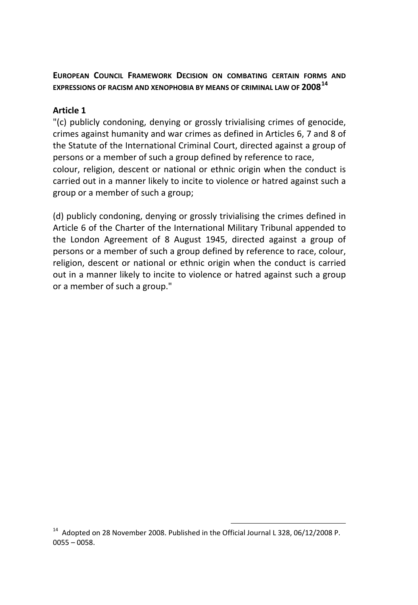**EUROPEAN COUNCIL FRAMEWORK DECISION ON COMBATING CERTAIN FORMS AND EXPRESSIONS OF RACISM AND XENOPHOBIA BY MEANS OF CRIMINAL LAW OF 2008[14](#page-12-0)**

#### **Article 1**

"(c) publicly condoning, denying or grossly trivialising crimes of genocide, crimes against humanity and war crimes as defined in Articles 6, 7 and 8 of the Statute of the International Criminal Court, directed against a group of persons or a member of such a group defined by reference to race, colour, religion, descent or national or ethnic origin when the conduct is carried out in a manner likely to incite to violence or hatred against such a group or a member of such a group;

(d) publicly condoning, denying or grossly trivialising the crimes defined in Article 6 of the Charter of the International Military Tribunal appended to the London Agreement of 8 August 1945, directed against a group of persons or a member of such a group defined by reference to race, colour, religion, descent or national or ethnic origin when the conduct is carried out in a manner likely to incite to violence or hatred against such a group or a member of such a group."

<span id="page-12-0"></span> $14$  Adopted on 28 November 2008. Published in the Official Journal L 328, 06/12/2008 P. 0055 – 0058.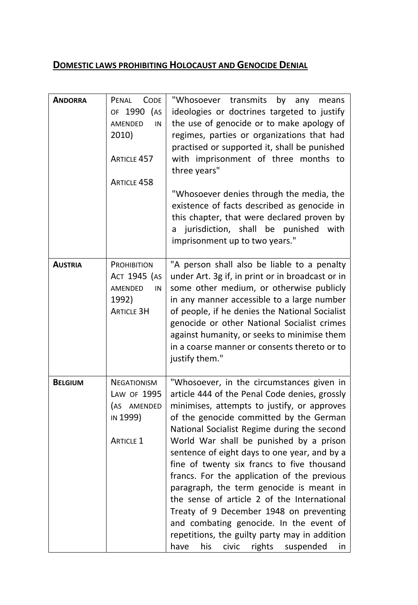## **DOMESTIC LAWS PROHIBITING HOLOCAUST AND GENOCIDE DENIAL**

| <b>ANDORRA</b> | <b>CODE</b><br>PENAL<br>OF 1990<br>(AS<br>AMENDED<br>IN<br>2010)<br><b>ARTICLE 457</b><br>ARTICLE 458 | "Whosoever<br>transmits<br>by any<br>means<br>ideologies or doctrines targeted to justify<br>the use of genocide or to make apology of<br>regimes, parties or organizations that had<br>practised or supported it, shall be punished<br>with imprisonment of three months to<br>three years"                                                                                                                                                                                                                                                                                                                                                                                                                       |
|----------------|-------------------------------------------------------------------------------------------------------|--------------------------------------------------------------------------------------------------------------------------------------------------------------------------------------------------------------------------------------------------------------------------------------------------------------------------------------------------------------------------------------------------------------------------------------------------------------------------------------------------------------------------------------------------------------------------------------------------------------------------------------------------------------------------------------------------------------------|
|                |                                                                                                       | "Whosoever denies through the media, the<br>existence of facts described as genocide in<br>this chapter, that were declared proven by<br>jurisdiction, shall be punished with<br>a<br>imprisonment up to two years."                                                                                                                                                                                                                                                                                                                                                                                                                                                                                               |
| <b>AUSTRIA</b> | PROHIBITION<br>ACT 1945 (AS<br><b>AMENDED</b><br>IN<br>1992)<br><b>ARTICLE 3H</b>                     | "A person shall also be liable to a penalty<br>under Art. 3g if, in print or in broadcast or in<br>some other medium, or otherwise publicly<br>in any manner accessible to a large number<br>of people, if he denies the National Socialist<br>genocide or other National Socialist crimes<br>against humanity, or seeks to minimise them<br>in a coarse manner or consents thereto or to<br>justify them."                                                                                                                                                                                                                                                                                                        |
| <b>BELGIUM</b> | <b>NEGATIONISM</b><br>LAW OF 1995<br>(AS AMENDED<br>IN 1999)<br><b>ARTICLE 1</b>                      | "Whosoever, in the circumstances given in<br>article 444 of the Penal Code denies, grossly<br>minimises, attempts to justify, or approves<br>of the genocide committed by the German<br>National Socialist Regime during the second<br>World War shall be punished by a prison<br>sentence of eight days to one year, and by a<br>fine of twenty six francs to five thousand<br>francs. For the application of the previous<br>paragraph, the term genocide is meant in<br>the sense of article 2 of the International<br>Treaty of 9 December 1948 on preventing<br>and combating genocide. In the event of<br>repetitions, the guilty party may in addition<br>rights<br>suspended<br>have<br>his<br>civic<br>in |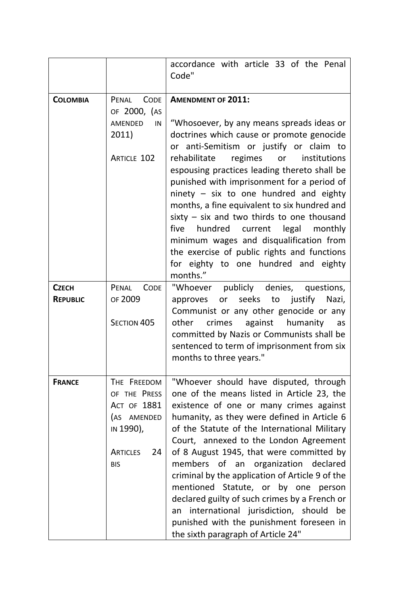|                                 |                                                                                                               | accordance with article 33 of the Penal<br>Code"                                                                                                                                                                                                                                                                                                                                                                                                                                                                                                                                                                                                    |
|---------------------------------|---------------------------------------------------------------------------------------------------------------|-----------------------------------------------------------------------------------------------------------------------------------------------------------------------------------------------------------------------------------------------------------------------------------------------------------------------------------------------------------------------------------------------------------------------------------------------------------------------------------------------------------------------------------------------------------------------------------------------------------------------------------------------------|
| <b>COLOMBIA</b>                 | <b>CODE</b><br>PENAL<br>OF 2000, (AS<br>AMENDED<br>IN<br>2011)<br><b>ARTICLE 102</b>                          | <b>AMENDMENT OF 2011:</b><br>"Whosoever, by any means spreads ideas or<br>doctrines which cause or promote genocide<br>or anti-Semitism or justify or claim to<br>rehabilitate<br>regimes<br>institutions<br>or<br>espousing practices leading thereto shall be<br>punished with imprisonment for a period of<br>ninety $-$ six to one hundred and eighty<br>months, a fine equivalent to six hundred and<br>$sixty - six$ and two thirds to one thousand<br>hundred<br>five<br>current legal monthly<br>minimum wages and disqualification from<br>the exercise of public rights and functions<br>for eighty to one hundred and eighty<br>months." |
| <b>CZECH</b><br><b>REPUBLIC</b> | PENAL<br><b>CODE</b><br>OF 2009<br>SECTION 405                                                                | "Whoever publicly denies, questions,<br>approves or seeks to justify Nazi,<br>Communist or any other genocide or any<br>crimes<br>against<br>humanity<br>other<br>as<br>committed by Nazis or Communists shall be<br>sentenced to term of imprisonment from six<br>months to three years."                                                                                                                                                                                                                                                                                                                                                          |
| <b>FRANCE</b>                   | THE FREEDOM<br>OF THE PRESS<br>ACT OF 1881<br>(AS AMENDED<br>IN 1990),<br>24<br><b>ARTICLES</b><br><b>BIS</b> | "Whoever should have disputed, through<br>one of the means listed in Article 23, the<br>existence of one or many crimes against<br>humanity, as they were defined in Article 6<br>of the Statute of the International Military<br>Court, annexed to the London Agreement<br>of 8 August 1945, that were committed by<br>members of an<br>organization declared<br>criminal by the application of Article 9 of the<br>mentioned Statute, or by one person<br>declared guilty of such crimes by a French or<br>international jurisdiction, should be<br>an<br>punished with the punishment foreseen in<br>the sixth paragraph of Article 24"          |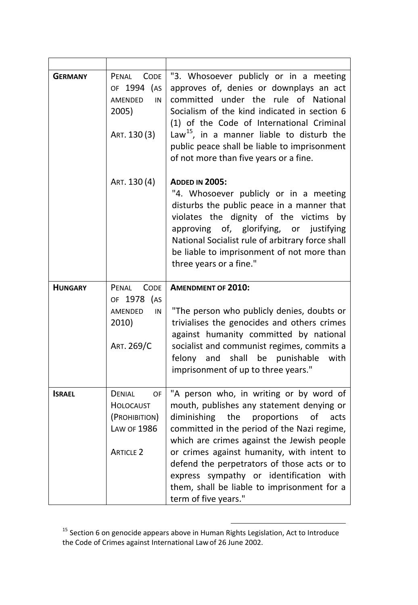| <b>GERMANY</b> | PENAL CODE<br>OF 1994 (AS<br>AMENDED<br>IN<br>2005)<br>ART. 130(3) | "3. Whosoever publicly or in a meeting<br>approves of, denies or downplays an act<br>committed under the rule of National<br>Socialism of the kind indicated in section 6<br>(1) of the Code of International Criminal<br>Law <sup>15</sup> , in a manner liable to disturb the<br>public peace shall be liable to imprisonment<br>of not more than five years or a fine. |
|----------------|--------------------------------------------------------------------|---------------------------------------------------------------------------------------------------------------------------------------------------------------------------------------------------------------------------------------------------------------------------------------------------------------------------------------------------------------------------|
|                | ART. 130 (4)                                                       | <b>ADDED IN 2005:</b><br>"4. Whosoever publicly or in a meeting<br>disturbs the public peace in a manner that<br>violates the dignity of the victims by<br>approving of, glorifying, or justifying<br>National Socialist rule of arbitrary force shall<br>be liable to imprisonment of not more than<br>three years or a fine."                                           |
| <b>HUNGARY</b> | PENAL<br><b>CODE</b>                                               | <b>AMENDMENT OF 2010:</b>                                                                                                                                                                                                                                                                                                                                                 |
|                | OF 1978 (AS                                                        |                                                                                                                                                                                                                                                                                                                                                                           |
|                | AMENDED<br>IN                                                      | "The person who publicly denies, doubts or                                                                                                                                                                                                                                                                                                                                |
|                | 2010)                                                              | trivialises the genocides and others crimes<br>against humanity committed by national                                                                                                                                                                                                                                                                                     |
|                | ART. 269/C                                                         | socialist and communist regimes, commits a<br>felony and shall be punishable<br>with<br>imprisonment of up to three years."                                                                                                                                                                                                                                               |
| <b>ISRAEL</b>  | DENIAL<br><b>OF</b>                                                | "A person who, in writing or by word of                                                                                                                                                                                                                                                                                                                                   |
|                |                                                                    |                                                                                                                                                                                                                                                                                                                                                                           |
|                | <b>HOLOCAUST</b>                                                   | mouth, publishes any statement denying or                                                                                                                                                                                                                                                                                                                                 |
|                | (PROHIBITION)                                                      | diminishing the proportions of acts                                                                                                                                                                                                                                                                                                                                       |
|                | <b>LAW OF 1986</b>                                                 | committed in the period of the Nazi regime,<br>which are crimes against the Jewish people                                                                                                                                                                                                                                                                                 |
|                | <b>ARTICLE 2</b>                                                   | or crimes against humanity, with intent to                                                                                                                                                                                                                                                                                                                                |
|                |                                                                    | defend the perpetrators of those acts or to                                                                                                                                                                                                                                                                                                                               |
|                |                                                                    | express sympathy or identification<br>with<br>them, shall be liable to imprisonment for a                                                                                                                                                                                                                                                                                 |

<span id="page-15-0"></span><sup>&</sup>lt;sup>15</sup> Section 6 on genocide appears above in Human Rights Legislation, Act to Introduce the Code of Crimes against International Lawof 26 June 2002.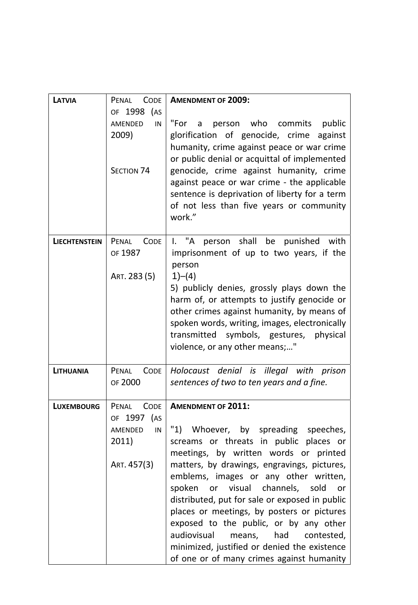| LATVIA               | <b>CODE</b><br>PENAL                | <b>AMENDMENT OF 2009:</b>                                                                                                                                                                                                        |
|----------------------|-------------------------------------|----------------------------------------------------------------------------------------------------------------------------------------------------------------------------------------------------------------------------------|
|                      | OF 1998<br>(AS<br>AMENDED<br>IN     | "For<br>person who commits public<br>a a                                                                                                                                                                                         |
|                      | 2009)                               | glorification of genocide, crime against<br>humanity, crime against peace or war crime<br>or public denial or acquittal of implemented                                                                                           |
|                      | SECTION 74                          | genocide, crime against humanity, crime<br>against peace or war crime - the applicable<br>sentence is deprivation of liberty for a term<br>of not less than five years or community<br>work."                                    |
| <b>LIECHTENSTEIN</b> | <b>CODE</b><br>PENAL<br>OF 1987     | person shall be punished with<br>I. "A<br>imprisonment of up to two years, if the<br>person                                                                                                                                      |
|                      | ART. 283 (5)                        | $1)-(4)$<br>5) publicly denies, grossly plays down the                                                                                                                                                                           |
|                      |                                     | harm of, or attempts to justify genocide or<br>other crimes against humanity, by means of                                                                                                                                        |
|                      |                                     | spoken words, writing, images, electronically<br>transmitted<br>symbols, gestures, physical<br>violence, or any other means;"                                                                                                    |
| LITHUANIA            | PENAL CODE<br>OF 2000               | Holocaust denial is illegal with prison<br>sentences of two to ten years and a fine.                                                                                                                                             |
| <b>LUXEMBOURG</b>    | <b>CODE</b><br>PENAL<br>OF 1997 (AS | <b>AMENDMENT OF 2011:</b>                                                                                                                                                                                                        |
|                      | AMENDED<br>IN<br>2011)              | "1) Whoever, by spreading speeches,<br>screams or threats in public places or<br>meetings, by written words or printed                                                                                                           |
|                      | ART. 457(3)                         | matters, by drawings, engravings, pictures,<br>emblems, images or any other written,<br>spoken or visual<br>channels, sold<br>or<br>distributed, put for sale or exposed in public<br>places or meetings, by posters or pictures |
|                      |                                     | exposed to the public, or by any other<br>audiovisual<br>means,<br>had<br>contested,<br>minimized, justified or denied the existence<br>of one or of many crimes against humanity                                                |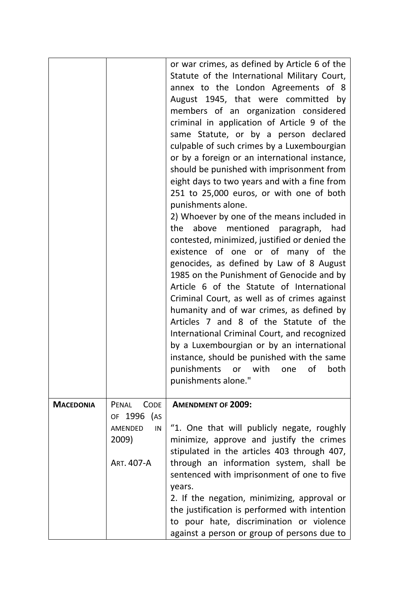|                  |                                                                      | or war crimes, as defined by Article 6 of the<br>Statute of the International Military Court,<br>annex to the London Agreements of 8<br>August 1945, that were committed by<br>members of an organization considered<br>criminal in application of Article 9 of the<br>same Statute, or by a person declared<br>culpable of such crimes by a Luxembourgian<br>or by a foreign or an international instance,<br>should be punished with imprisonment from<br>eight days to two years and with a fine from<br>251 to 25,000 euros, or with one of both<br>punishments alone.<br>2) Whoever by one of the means included in<br>above<br>mentioned<br>paragraph,<br>the<br>had<br>contested, minimized, justified or denied the<br>existence of one or of many of the<br>genocides, as defined by Law of 8 August<br>1985 on the Punishment of Genocide and by<br>Article 6 of the Statute of International<br>Criminal Court, as well as of crimes against<br>humanity and of war crimes, as defined by<br>Articles 7 and 8 of the Statute of the<br>International Criminal Court, and recognized<br>by a Luxembourgian or by an international<br>instance, should be punished with the same<br>punishments<br>or with<br>οf<br>both<br>one<br>punishments alone." |
|------------------|----------------------------------------------------------------------|-----------------------------------------------------------------------------------------------------------------------------------------------------------------------------------------------------------------------------------------------------------------------------------------------------------------------------------------------------------------------------------------------------------------------------------------------------------------------------------------------------------------------------------------------------------------------------------------------------------------------------------------------------------------------------------------------------------------------------------------------------------------------------------------------------------------------------------------------------------------------------------------------------------------------------------------------------------------------------------------------------------------------------------------------------------------------------------------------------------------------------------------------------------------------------------------------------------------------------------------------------------------|
| <b>MACEDONIA</b> | PENAL<br>CODE<br>OF 1996 (AS<br>AMENDED<br>IN<br>2009)<br>ART. 407-A | <b>AMENDMENT OF 2009:</b><br>"1. One that will publicly negate, roughly<br>minimize, approve and justify the crimes<br>stipulated in the articles 403 through 407,<br>through an information system, shall be<br>sentenced with imprisonment of one to five<br>years.<br>2. If the negation, minimizing, approval or<br>the justification is performed with intention<br>to pour hate, discrimination or violence<br>against a person or group of persons due to                                                                                                                                                                                                                                                                                                                                                                                                                                                                                                                                                                                                                                                                                                                                                                                                |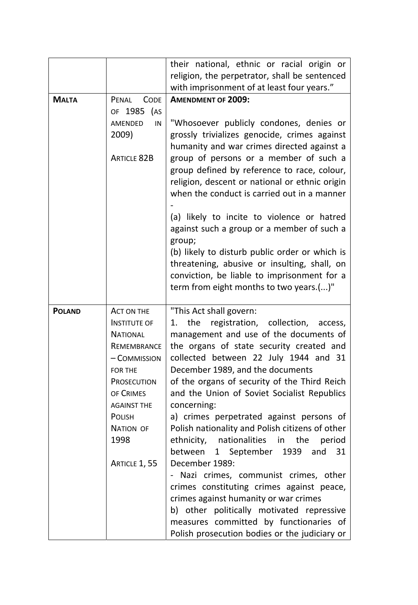|               |                                | their national, ethnic or racial origin or                 |
|---------------|--------------------------------|------------------------------------------------------------|
|               |                                | religion, the perpetrator, shall be sentenced              |
|               |                                | with imprisonment of at least four years."                 |
| <b>MALTA</b>  | PENAL<br><b>CODE</b>           | <b>AMENDMENT OF 2009:</b>                                  |
|               | OF 1985 (AS                    |                                                            |
|               | AMENDED<br>IN                  | "Whosoever publicly condones, denies or                    |
|               | 2009)                          | grossly trivializes genocide, crimes against               |
|               |                                | humanity and war crimes directed against a                 |
|               | <b>ARTICLE 82B</b>             | group of persons or a member of such a                     |
|               |                                | group defined by reference to race, colour,                |
|               |                                | religion, descent or national or ethnic origin             |
|               |                                | when the conduct is carried out in a manner                |
|               |                                |                                                            |
|               |                                | (a) likely to incite to violence or hatred                 |
|               |                                |                                                            |
|               |                                | against such a group or a member of such a                 |
|               |                                | group;<br>(b) likely to disturb public order or which is   |
|               |                                | threatening, abusive or insulting, shall, on               |
|               |                                | conviction, be liable to imprisonment for a                |
|               |                                | term from eight months to two years.()"                    |
|               |                                |                                                            |
|               |                                |                                                            |
|               |                                |                                                            |
| <b>POLAND</b> | ACT ON THE                     | "This Act shall govern:                                    |
|               | <b>INSTITUTE OF</b>            | registration, collection,<br>the<br>1.<br>access,          |
|               | <b>NATIONAL</b>                | management and use of the documents of                     |
|               | REMEMBRANCE                    | the organs of state security created and                   |
|               | - COMMISSION<br><b>FOR THE</b> | collected between 22 July 1944 and 31                      |
|               | PROSECUTION                    | December 1989, and the documents                           |
|               | OF CRIMES                      | of the organs of security of the Third Reich               |
|               | <b>AGAINST THE</b>             | and the Union of Soviet Socialist Republics<br>concerning: |
|               | POLISH                         | a) crimes perpetrated against persons of                   |
|               | <b>NATION OF</b>               | Polish nationality and Polish citizens of other            |
|               | 1998                           | nationalities in the<br>ethnicity,<br>period               |
|               |                                | between<br>1939 and<br>1 September<br>31                   |
|               | ARTICLE 1, 55                  | December 1989:                                             |
|               |                                | - Nazi crimes, communist crimes, other                     |
|               |                                | crimes constituting crimes against peace,                  |
|               |                                | crimes against humanity or war crimes                      |
|               |                                | b) other politically motivated repressive                  |
|               |                                | measures committed by functionaries of                     |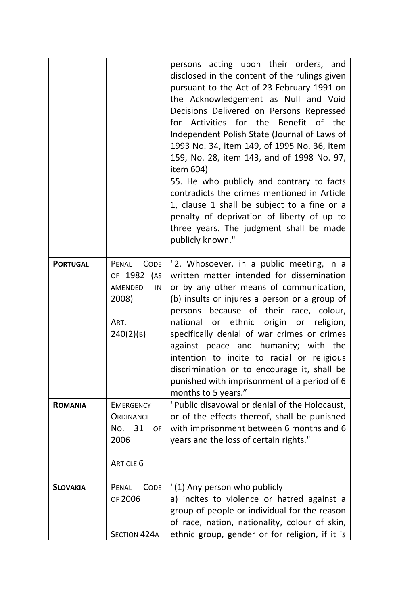| <b>PORTUGAL</b> | PENAL<br><b>CODE</b>         | persons acting upon their orders, and<br>disclosed in the content of the rulings given<br>pursuant to the Act of 23 February 1991 on<br>the Acknowledgement as Null and Void<br>Decisions Delivered on Persons Repressed<br>Activities for the Benefit of the<br>for<br>Independent Polish State (Journal of Laws of<br>1993 No. 34, item 149, of 1995 No. 36, item<br>159, No. 28, item 143, and of 1998 No. 97,<br>item 604)<br>55. He who publicly and contrary to facts<br>contradicts the crimes mentioned in Article<br>1, clause 1 shall be subject to a fine or a<br>penalty of deprivation of liberty of up to<br>three years. The judgment shall be made<br>publicly known."<br>"2. Whosoever, in a public meeting, in a |
|-----------------|------------------------------|------------------------------------------------------------------------------------------------------------------------------------------------------------------------------------------------------------------------------------------------------------------------------------------------------------------------------------------------------------------------------------------------------------------------------------------------------------------------------------------------------------------------------------------------------------------------------------------------------------------------------------------------------------------------------------------------------------------------------------|
|                 | OF 1982 (AS                  | written matter intended for dissemination                                                                                                                                                                                                                                                                                                                                                                                                                                                                                                                                                                                                                                                                                          |
|                 | AMENDED<br>IN                | or by any other means of communication,                                                                                                                                                                                                                                                                                                                                                                                                                                                                                                                                                                                                                                                                                            |
|                 | 2008)                        | (b) insults or injures a person or a group of<br>persons because of their race, colour,                                                                                                                                                                                                                                                                                                                                                                                                                                                                                                                                                                                                                                            |
|                 | ART.                         | national or ethnic origin or<br>religion,                                                                                                                                                                                                                                                                                                                                                                                                                                                                                                                                                                                                                                                                                          |
|                 | 240(2)(B)                    | specifically denial of war crimes or crimes<br>against peace and humanity; with the                                                                                                                                                                                                                                                                                                                                                                                                                                                                                                                                                                                                                                                |
|                 |                              | intention to incite to racial or religious                                                                                                                                                                                                                                                                                                                                                                                                                                                                                                                                                                                                                                                                                         |
|                 |                              | discrimination or to encourage it, shall be<br>punished with imprisonment of a period of 6                                                                                                                                                                                                                                                                                                                                                                                                                                                                                                                                                                                                                                         |
|                 |                              | months to 5 years."                                                                                                                                                                                                                                                                                                                                                                                                                                                                                                                                                                                                                                                                                                                |
| <b>ROMANIA</b>  | <b>EMERGENCY</b>             | "Public disavowal or denial of the Holocaust,<br>or of the effects thereof, shall be punished                                                                                                                                                                                                                                                                                                                                                                                                                                                                                                                                                                                                                                      |
|                 | ORDINANCE<br>31<br>No.<br>OF | with imprisonment between 6 months and 6                                                                                                                                                                                                                                                                                                                                                                                                                                                                                                                                                                                                                                                                                           |
|                 | 2006                         | years and the loss of certain rights."                                                                                                                                                                                                                                                                                                                                                                                                                                                                                                                                                                                                                                                                                             |
|                 |                              |                                                                                                                                                                                                                                                                                                                                                                                                                                                                                                                                                                                                                                                                                                                                    |
|                 | <b>ARTICLE 6</b>             |                                                                                                                                                                                                                                                                                                                                                                                                                                                                                                                                                                                                                                                                                                                                    |
| <b>SLOVAKIA</b> | PENAL<br><b>CODE</b>         | "(1) Any person who publicly                                                                                                                                                                                                                                                                                                                                                                                                                                                                                                                                                                                                                                                                                                       |
|                 | OF 2006                      | a) incites to violence or hatred against a                                                                                                                                                                                                                                                                                                                                                                                                                                                                                                                                                                                                                                                                                         |
|                 |                              | group of people or individual for the reason                                                                                                                                                                                                                                                                                                                                                                                                                                                                                                                                                                                                                                                                                       |
|                 |                              | of race, nation, nationality, colour of skin,                                                                                                                                                                                                                                                                                                                                                                                                                                                                                                                                                                                                                                                                                      |
|                 | SECTION 424A                 | ethnic group, gender or for religion, if it is                                                                                                                                                                                                                                                                                                                                                                                                                                                                                                                                                                                                                                                                                     |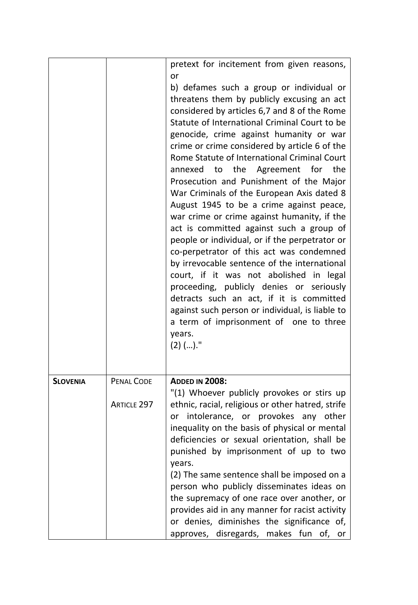|                 |                                         | pretext for incitement from given reasons,<br>or<br>b) defames such a group or individual or<br>threatens them by publicly excusing an act<br>considered by articles 6,7 and 8 of the Rome<br>Statute of International Criminal Court to be<br>genocide, crime against humanity or war<br>crime or crime considered by article 6 of the<br>Rome Statute of International Criminal Court<br>annexed to the Agreement for the<br>Prosecution and Punishment of the Major<br>War Criminals of the European Axis dated 8<br>August 1945 to be a crime against peace,<br>war crime or crime against humanity, if the<br>act is committed against such a group of<br>people or individual, or if the perpetrator or<br>co-perpetrator of this act was condemned<br>by irrevocable sentence of the international<br>court, if it was not abolished in legal<br>proceeding, publicly denies or seriously<br>detracts such an act, if it is committed<br>against such person or individual, is liable to<br>a term of imprisonment of one to three<br>years.<br>$(2)$ ()." |
|-----------------|-----------------------------------------|-------------------------------------------------------------------------------------------------------------------------------------------------------------------------------------------------------------------------------------------------------------------------------------------------------------------------------------------------------------------------------------------------------------------------------------------------------------------------------------------------------------------------------------------------------------------------------------------------------------------------------------------------------------------------------------------------------------------------------------------------------------------------------------------------------------------------------------------------------------------------------------------------------------------------------------------------------------------------------------------------------------------------------------------------------------------|
| <b>SLOVENIA</b> | <b>PENAL CODE</b><br><b>ARTICLE 297</b> | <b>ADDED IN 2008:</b><br>"(1) Whoever publicly provokes or stirs up<br>ethnic, racial, religious or other hatred, strife<br>or intolerance, or provokes any other<br>inequality on the basis of physical or mental<br>deficiencies or sexual orientation, shall be<br>punished by imprisonment of up to two<br>years.<br>(2) The same sentence shall be imposed on a                                                                                                                                                                                                                                                                                                                                                                                                                                                                                                                                                                                                                                                                                              |
|                 |                                         | person who publicly disseminates ideas on<br>the supremacy of one race over another, or<br>provides aid in any manner for racist activity<br>or denies, diminishes the significance of,<br>approves, disregards, makes fun of,<br>or                                                                                                                                                                                                                                                                                                                                                                                                                                                                                                                                                                                                                                                                                                                                                                                                                              |